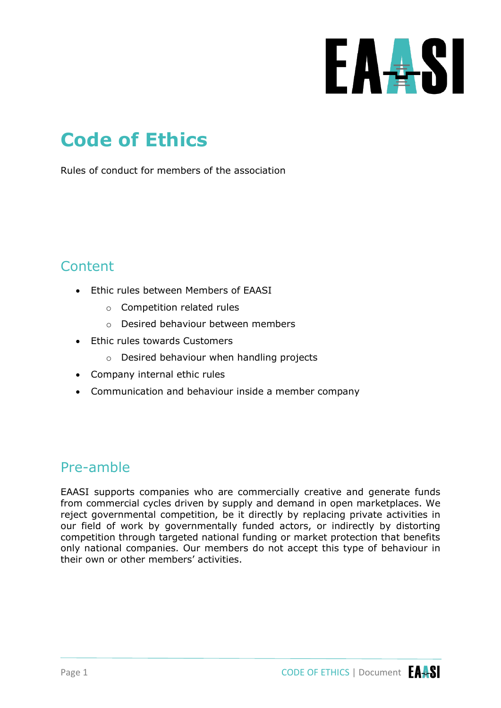

# **Code of Ethics**

Rules of conduct for members of the association

### **Content**

- Ethic rules between Members of EAASI
	- o Competition related rules
	- o Desired behaviour between members
- Ethic rules towards Customers
	- o Desired behaviour when handling projects
- Company internal ethic rules
- Communication and behaviour inside a member company

#### Pre-amble

EAASI supports companies who are commercially creative and generate funds from commercial cycles driven by supply and demand in open marketplaces. We reject governmental competition, be it directly by replacing private activities in our field of work by governmentally funded actors, or indirectly by distorting competition through targeted national funding or market protection that benefits only national companies. Our members do not accept this type of behaviour in their own or other members' activities.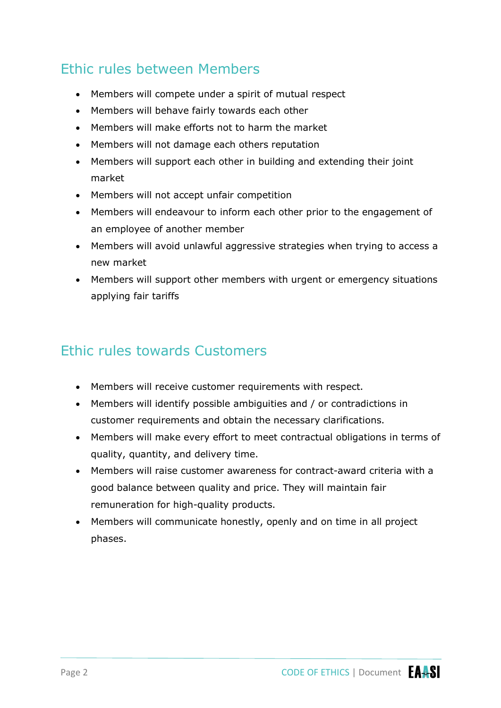#### Ethic rules between Members

- Members will compete under a spirit of mutual respect
- Members will behave fairly towards each other
- Members will make efforts not to harm the market
- Members will not damage each others reputation
- Members will support each other in building and extending their joint market
- Members will not accept unfair competition
- Members will endeavour to inform each other prior to the engagement of an employee of another member
- Members will avoid unlawful aggressive strategies when trying to access a new market
- Members will support other members with urgent or emergency situations applying fair tariffs

#### Ethic rules towards Customers

- Members will receive customer requirements with respect.
- Members will identify possible ambiguities and / or contradictions in customer requirements and obtain the necessary clarifications.
- Members will make every effort to meet contractual obligations in terms of quality, quantity, and delivery time.
- Members will raise customer awareness for contract-award criteria with a good balance between quality and price. They will maintain fair remuneration for high-quality products.
- Members will communicate honestly, openly and on time in all project phases.